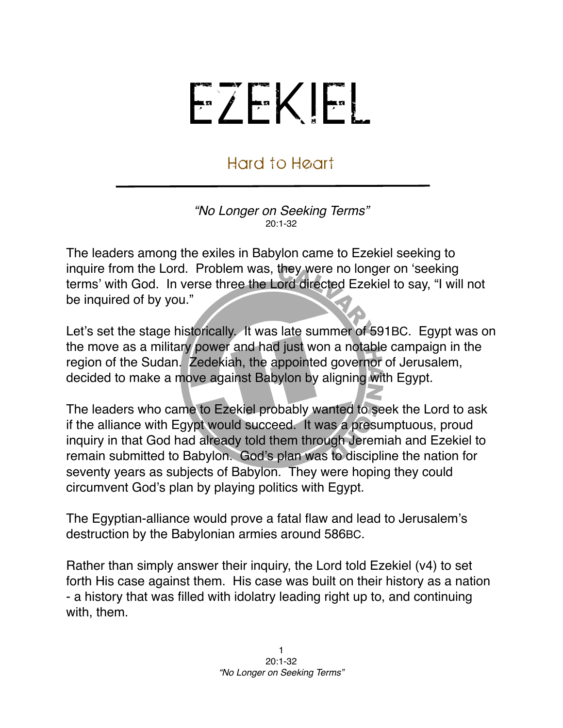## EZEKIEL

## Hard to Heart

*"No Longer on Seeking Terms"* 20:1-32

The leaders among the exiles in Babylon came to Ezekiel seeking to inquire from the Lord. Problem was, they were no longer on ʻseeking terms' with God. In verse three the Lord directed Ezekiel to say, "I will not be inquired of by you."

Let's set the stage historically. It was late summer of 591BC. Egypt was on the move as a military power and had just won a notable campaign in the region of the Sudan. Zedekiah, the appointed governor of Jerusalem, decided to make a move against Babylon by aligning with Egypt.

The leaders who came to Ezekiel probably wanted to seek the Lord to ask if the alliance with Egypt would succeed. It was a presumptuous, proud inquiry in that God had already told them through Jeremiah and Ezekiel to remain submitted to Babylon. God's plan was to discipline the nation for seventy years as subjects of Babylon. They were hoping they could circumvent God's plan by playing politics with Egypt.

The Egyptian-alliance would prove a fatal flaw and lead to Jerusalem's destruction by the Babylonian armies around 586BC.

Rather than simply answer their inquiry, the Lord told Ezekiel (v4) to set forth His case against them. His case was built on their history as a nation - a history that was filled with idolatry leading right up to, and continuing with, them.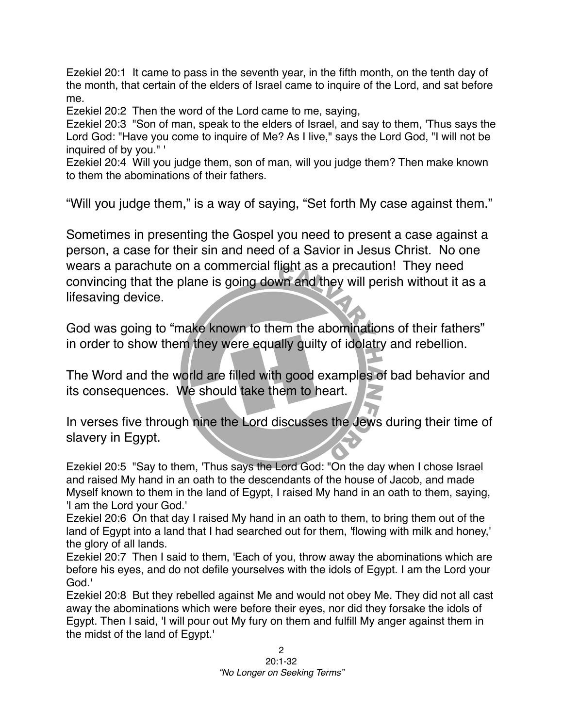Ezekiel 20:1 It came to pass in the seventh year, in the fifth month, on the tenth day of the month, that certain of the elders of Israel came to inquire of the Lord, and sat before me.

Ezekiel 20:2 Then the word of the Lord came to me, saying,

Ezekiel 20:3 "Son of man, speak to the elders of Israel, and say to them, 'Thus says the Lord God: "Have you come to inquire of Me? As I live," says the Lord God, "I will not be inquired of by you." '

Ezekiel 20:4 Will you judge them, son of man, will you judge them? Then make known to them the abominations of their fathers.

"Will you judge them," is a way of saying, "Set forth My case against them."

Sometimes in presenting the Gospel you need to present a case against a person, a case for their sin and need of a Savior in Jesus Christ. No one wears a parachute on a commercial flight as a precaution! They need convincing that the plane is going down and they will perish without it as a lifesaving device.

God was going to "make known to them the abominations of their fathers" in order to show them they were equally guilty of idolatry and rebellion.

The Word and the world are filled with good examples of bad behavior and its consequences. We should take them to heart.

In verses five through nine the Lord discusses the Jews during their time of slavery in Egypt.

Ezekiel 20:5 "Say to them, 'Thus says the Lord God: "On the day when I chose Israel and raised My hand in an oath to the descendants of the house of Jacob, and made Myself known to them in the land of Egypt, I raised My hand in an oath to them, saying, 'I am the Lord your God.'

Ezekiel 20:6 On that day I raised My hand in an oath to them, to bring them out of the land of Egypt into a land that I had searched out for them, 'flowing with milk and honey,' the glory of all lands.

Ezekiel 20:7 Then I said to them, 'Each of you, throw away the abominations which are before his eyes, and do not defile yourselves with the idols of Egypt. I am the Lord your God.'

Ezekiel 20:8 But they rebelled against Me and would not obey Me. They did not all cast away the abominations which were before their eyes, nor did they forsake the idols of Egypt. Then I said, 'I will pour out My fury on them and fulfill My anger against them in the midst of the land of Egypt.'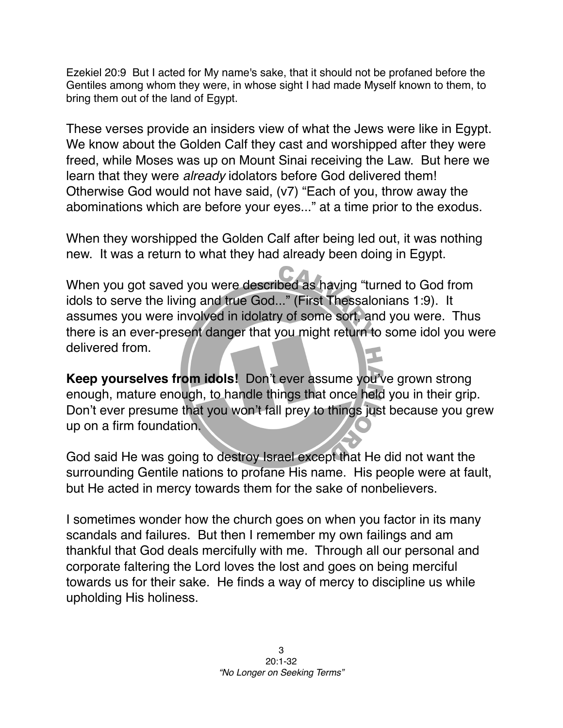Ezekiel 20:9 But I acted for My name's sake, that it should not be profaned before the Gentiles among whom they were, in whose sight I had made Myself known to them, to bring them out of the land of Egypt.

These verses provide an insiders view of what the Jews were like in Egypt. We know about the Golden Calf they cast and worshipped after they were freed, while Moses was up on Mount Sinai receiving the Law. But here we learn that they were *already* idolators before God delivered them! Otherwise God would not have said, (v7) "Each of you, throw away the abominations which are before your eyes..." at a time prior to the exodus.

When they worshipped the Golden Calf after being led out, it was nothing new. It was a return to what they had already been doing in Egypt.

When you got saved you were described as having "turned to God from idols to serve the living and true God..." (First Thessalonians 1:9). It assumes you were involved in idolatry of some sort, and you were. Thus there is an ever-present danger that you might return to some idol you were delivered from.

**Keep yourselves from idols!** Don't ever assume you've grown strong enough, mature enough, to handle things that once held you in their grip. Don't ever presume that you won't fall prey to things just because you grew up on a firm foundation.

God said He was going to destroy Israel except that He did not want the surrounding Gentile nations to profane His name. His people were at fault, but He acted in mercy towards them for the sake of nonbelievers.

I sometimes wonder how the church goes on when you factor in its many scandals and failures. But then I remember my own failings and am thankful that God deals mercifully with me. Through all our personal and corporate faltering the Lord loves the lost and goes on being merciful towards us for their sake. He finds a way of mercy to discipline us while upholding His holiness.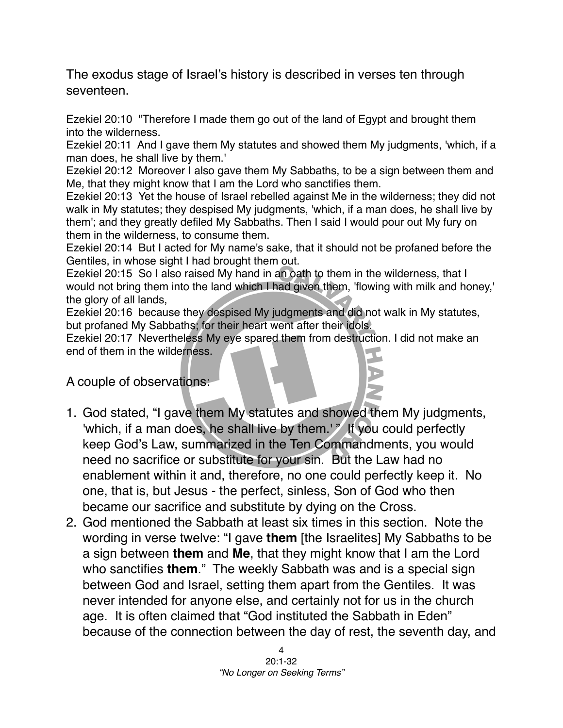The exodus stage of Israel's history is described in verses ten through seventeen.

Ezekiel 20:10 "Therefore I made them go out of the land of Egypt and brought them into the wilderness.

Ezekiel 20:11 And I gave them My statutes and showed them My judgments, 'which, if a man does, he shall live by them.'

Ezekiel 20:12 Moreover I also gave them My Sabbaths, to be a sign between them and Me, that they might know that I am the Lord who sanctifies them.

Ezekiel 20:13 Yet the house of Israel rebelled against Me in the wilderness; they did not walk in My statutes; they despised My judgments, 'which, if a man does, he shall live by them'; and they greatly defiled My Sabbaths. Then I said I would pour out My fury on them in the wilderness, to consume them.

Ezekiel 20:14 But I acted for My name's sake, that it should not be profaned before the Gentiles, in whose sight I had brought them out.

Ezekiel 20:15 So I also raised My hand in an oath to them in the wilderness, that I would not bring them into the land which I had given them, 'flowing with milk and honey,' the glory of all lands,

Ezekiel 20:16 because they despised My judgments and did not walk in My statutes, but profaned My Sabbaths; for their heart went after their idols.

Ezekiel 20:17 Nevertheless My eye spared them from destruction. I did not make an end of them in the wilderness.

A couple of observations:

- 1. God stated, "I gave them My statutes and showed them My judgments, 'which, if a man does, he shall live by them.'" If you could perfectly keep God's Law, summarized in the Ten Commandments, you would need no sacrifice or substitute for your sin. But the Law had no enablement within it and, therefore, no one could perfectly keep it. No one, that is, but Jesus - the perfect, sinless, Son of God who then became our sacrifice and substitute by dying on the Cross.
- 2. God mentioned the Sabbath at least six times in this section. Note the wording in verse twelve: "I gave **them** [the Israelites] My Sabbaths to be a sign between **them** and **Me**, that they might know that I am the Lord who sanctifies **them**." The weekly Sabbath was and is a special sign between God and Israel, setting them apart from the Gentiles. It was never intended for anyone else, and certainly not for us in the church age. It is often claimed that "God instituted the Sabbath in Eden" because of the connection between the day of rest, the seventh day, and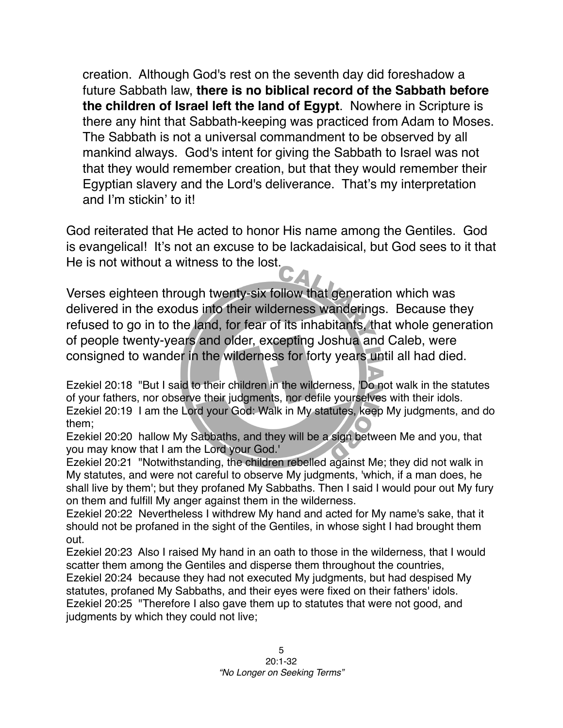creation. Although God's rest on the seventh day did foreshadow a future Sabbath law, **there is no biblical record of the Sabbath before the children of Israel left the land of Egypt**. Nowhere in Scripture is there any hint that Sabbath-keeping was practiced from Adam to Moses. The Sabbath is not a universal commandment to be observed by all mankind always. God's intent for giving the Sabbath to Israel was not that they would remember creation, but that they would remember their Egyptian slavery and the Lord's deliverance. That's my interpretation and I'm stickin' to it!

God reiterated that He acted to honor His name among the Gentiles. God is evangelical! It's not an excuse to be lackadaisical, but God sees to it that He is not without a witness to the lost.

Verses eighteen through twenty-six follow that generation which was delivered in the exodus into their wilderness wanderings. Because they refused to go in to the land, for fear of its inhabitants, that whole generation of people twenty-years and older, excepting Joshua and Caleb, were consigned to wander in the wilderness for forty years until all had died.

Ezekiel 20:18 "But I said to their children in the wilderness, 'Do not walk in the statutes of your fathers, nor observe their judgments, nor defile yourselves with their idols. Ezekiel 20:19 I am the Lord your God: Walk in My statutes, keep My judgments, and do them;

Ezekiel 20:20 hallow My Sabbaths, and they will be a sign between Me and you, that you may know that I am the Lord your God.'

Ezekiel 20:21 "Notwithstanding, the children rebelled against Me; they did not walk in My statutes, and were not careful to observe My judgments, 'which, if a man does, he shall live by them'; but they profaned My Sabbaths. Then I said I would pour out My fury on them and fulfill My anger against them in the wilderness.

Ezekiel 20:22 Nevertheless I withdrew My hand and acted for My name's sake, that it should not be profaned in the sight of the Gentiles, in whose sight I had brought them out.

Ezekiel 20:23 Also I raised My hand in an oath to those in the wilderness, that I would scatter them among the Gentiles and disperse them throughout the countries,

Ezekiel 20:24 because they had not executed My judgments, but had despised My statutes, profaned My Sabbaths, and their eyes were fixed on their fathers' idols. Ezekiel 20:25 "Therefore I also gave them up to statutes that were not good, and judgments by which they could not live;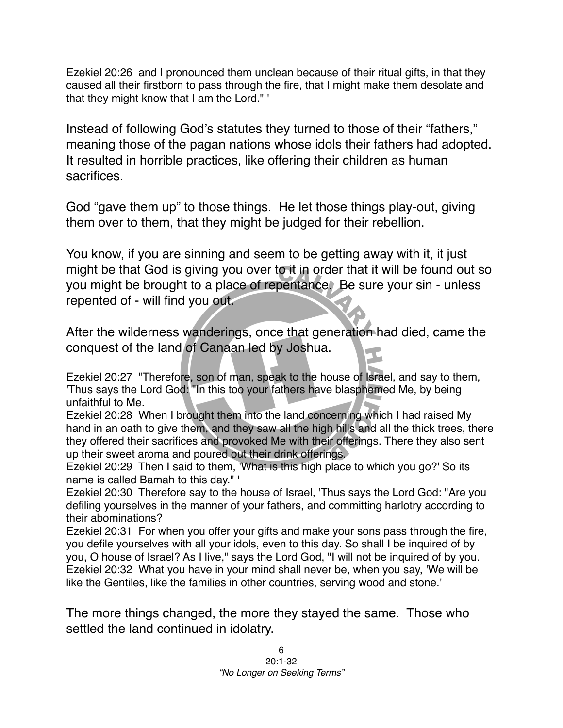Ezekiel 20:26 and I pronounced them unclean because of their ritual gifts, in that they caused all their firstborn to pass through the fire, that I might make them desolate and that they might know that I am the Lord." '

Instead of following God's statutes they turned to those of their "fathers," meaning those of the pagan nations whose idols their fathers had adopted. It resulted in horrible practices, like offering their children as human sacrifices.

God "gave them up" to those things. He let those things play-out, giving them over to them, that they might be judged for their rebellion.

You know, if you are sinning and seem to be getting away with it, it just might be that God is giving you over to it in order that it will be found out so you might be brought to a place of repentance. Be sure your sin - unless repented of - will find you out.

After the wilderness wanderings, once that generation had died, came the conquest of the land of Canaan led by Joshua.

Ezekiel 20:27 "Therefore, son of man, speak to the house of Israel, and say to them, 'Thus says the Lord God: "In this too your fathers have blasphemed Me, by being unfaithful to Me.

Ezekiel 20:28 When I brought them into the land concerning which I had raised My hand in an oath to give them, and they saw all the high hills and all the thick trees, there they offered their sacrifices and provoked Me with their offerings. There they also sent up their sweet aroma and poured out their drink offerings.

Ezekiel 20:29 Then I said to them, 'What is this high place to which you go?' So its name is called Bamah to this day." '

Ezekiel 20:30 Therefore say to the house of Israel, 'Thus says the Lord God: "Are you defiling yourselves in the manner of your fathers, and committing harlotry according to their abominations?

Ezekiel 20:31 For when you offer your gifts and make your sons pass through the fire, you defile yourselves with all your idols, even to this day. So shall I be inquired of by you, O house of Israel? As I live," says the Lord God, "I will not be inquired of by you. Ezekiel 20:32 What you have in your mind shall never be, when you say, 'We will be like the Gentiles, like the families in other countries, serving wood and stone.'

The more things changed, the more they stayed the same. Those who settled the land continued in idolatry.